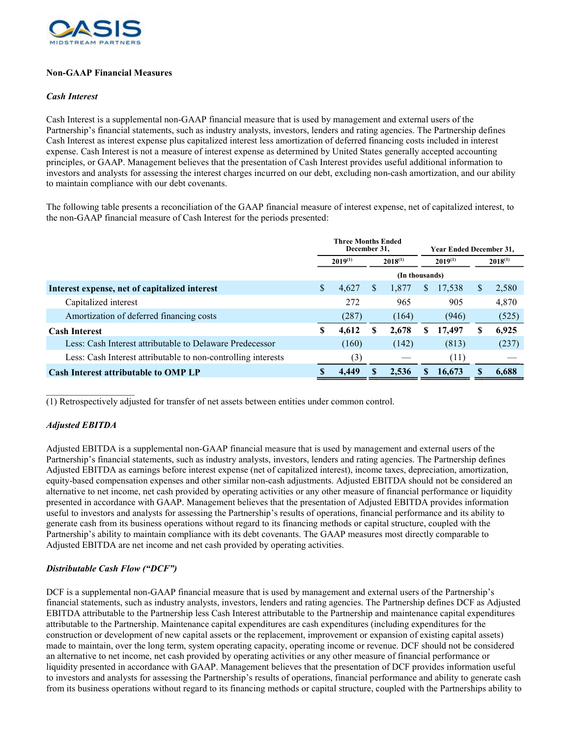

## Non-GAAP Financial Measures

## Cash Interest

Cash Interest is a supplemental non-GAAP financial measure that is used by management and external users of the Partnership's financial statements, such as industry analysts, investors, lenders and rating agencies. The Partnership defines Cash Interest as interest expense plus capitalized interest less amortization of deferred financing costs included in interest expense. Cash Interest is not a measure of interest expense as determined by United States generally accepted accounting principles, or GAAP. Management believes that the presentation of Cash Interest provides useful additional information to investors and analysts for assessing the interest charges incurred on our debt, excluding non-cash amortization, and our ability to maintain compliance with our debt covenants.

The following table presents a reconciliation of the GAAP financial measure of interest expense, net of capitalized interest, to the non-GAAP financial measure of Cash Interest for the periods presented:

|                                                               | <b>Three Months Ended</b><br>December 31. |       |              |       | <b>Year Ended December 31.</b> |        |              |       |
|---------------------------------------------------------------|-------------------------------------------|-------|--------------|-------|--------------------------------|--------|--------------|-------|
|                                                               | $2019^{(1)}$                              |       | $2018^{(1)}$ |       | $2019^{(1)}$                   |        | $2018^{(1)}$ |       |
|                                                               | (In thousands)                            |       |              |       |                                |        |              |       |
| Interest expense, net of capitalized interest                 | \$                                        | 4,627 | S            | 1,877 | \$                             | 17,538 | S            | 2,580 |
| Capitalized interest                                          |                                           | 272   |              | 965   |                                | 905    |              | 4,870 |
| Amortization of deferred financing costs                      |                                           | (287) |              | (164) |                                | (946)  |              | (525) |
| <b>Cash Interest</b>                                          | \$                                        | 4,612 |              | 2,678 | S                              | 17,497 | S            | 6,925 |
| Less: Cash Interest attributable to Delaware Predecessor      |                                           | (160) |              | (142) |                                | (813)  |              | (237) |
| Less: Cash Interest attributable to non-controlling interests |                                           | (3)   |              |       |                                | (11)   |              |       |
| <b>Cash Interest attributable to OMP LP</b>                   |                                           | 4.449 |              | 2.536 |                                | 16,673 |              | 6,688 |

(1) Retrospectively adjusted for transfer of net assets between entities under common control.

## Adjusted EBITDA

 $\mathcal{L}_\text{max}$ 

Adjusted EBITDA is a supplemental non-GAAP financial measure that is used by management and external users of the Partnership's financial statements, such as industry analysts, investors, lenders and rating agencies. The Partnership defines Adjusted EBITDA as earnings before interest expense (net of capitalized interest), income taxes, depreciation, amortization, equity-based compensation expenses and other similar non-cash adjustments. Adjusted EBITDA should not be considered an alternative to net income, net cash provided by operating activities or any other measure of financial performance or liquidity presented in accordance with GAAP. Management believes that the presentation of Adjusted EBITDA provides information useful to investors and analysts for assessing the Partnership's results of operations, financial performance and its ability to generate cash from its business operations without regard to its financing methods or capital structure, coupled with the Partnership's ability to maintain compliance with its debt covenants. The GAAP measures most directly comparable to Adjusted EBITDA are net income and net cash provided by operating activities.

## Distributable Cash Flow ("DCF")

DCF is a supplemental non-GAAP financial measure that is used by management and external users of the Partnership's financial statements, such as industry analysts, investors, lenders and rating agencies. The Partnership defines DCF as Adjusted EBITDA attributable to the Partnership less Cash Interest attributable to the Partnership and maintenance capital expenditures attributable to the Partnership. Maintenance capital expenditures are cash expenditures (including expenditures for the construction or development of new capital assets or the replacement, improvement or expansion of existing capital assets) made to maintain, over the long term, system operating capacity, operating income or revenue. DCF should not be considered an alternative to net income, net cash provided by operating activities or any other measure of financial performance or liquidity presented in accordance with GAAP. Management believes that the presentation of DCF provides information useful to investors and analysts for assessing the Partnership's results of operations, financial performance and ability to generate cash from its business operations without regard to its financing methods or capital structure, coupled with the Partnerships ability to